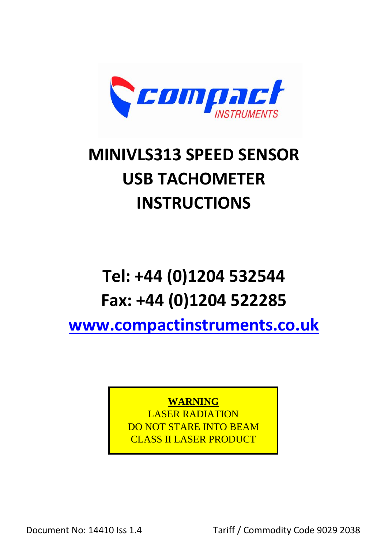

# **MINIVLS313 SPEED SENSOR USB TACHOMETER INSTRUCTIONS**

# **Tel: +44 (0)1204 532544 Fax: +44 (0)1204 522285**

**[www.compactinstruments.co.uk](http://www.compactinstruments.co.uk/)**

**WARNING**

LASER RADIATION DO NOT STARE INTO BEAM CLASS II LASER PRODUCT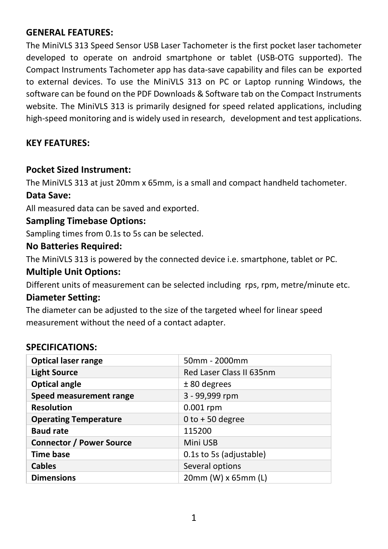# **GENERAL FEATURES:**

The MiniVLS 313 Speed Sensor USB Laser Tachometer is the first pocket laser tachometer developed to operate on android smartphone or tablet (USB-OTG supported). The Compact Instruments Tachometer app has data-save capability and files can be exported to external devices. To use the MiniVLS 313 on PC or Laptop running Windows, the software can be found on the PDF Downloads & Software tab on the Compact Instruments website. The MiniVLS 313 is primarily designed for speed related applications, including high-speed monitoring and is widely used in research, development and test applications.

# **KEY FEATURES:**

#### **Pocket Sized Instrument:**

The MiniVLS 313 at just 20mm x 65mm, is a small and compact handheld tachometer.

#### **Data Save:**

All measured data can be saved and exported.

#### **Sampling Timebase Options:**

Sampling times from 0.1s to 5s can be selected.

#### **No Batteries Required:**

The MiniVLS 313 is powered by the connected device i.e. smartphone, tablet or PC.

#### **Multiple Unit Options:**

Different units of measurement can be selected including rps, rpm, metre/minute etc.

#### **Diameter Setting:**

The diameter can be adjusted to the size of the targeted wheel for linear speed measurement without the need of a contact adapter.

#### **SPECIFICATIONS:**

| <b>Optical laser range</b>      | 50mm - 2000mm            |
|---------------------------------|--------------------------|
| <b>Light Source</b>             | Red Laser Class II 635nm |
| <b>Optical angle</b>            | $± 80$ degrees           |
| Speed measurement range         | 3 - 99,999 rpm           |
| <b>Resolution</b>               | $0.001$ rpm              |
| <b>Operating Temperature</b>    | $0$ to +50 degree        |
| <b>Baud rate</b>                | 115200                   |
| <b>Connector / Power Source</b> | Mini USB                 |
| <b>Time base</b>                | 0.1s to 5s (adjustable)  |
| <b>Cables</b>                   | Several options          |
| <b>Dimensions</b>               | 20mm (W) x 65mm (L)      |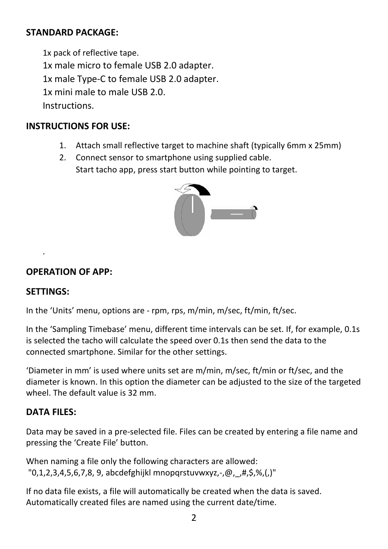# **STANDARD PACKAGE:**

1x pack of reflective tape. 1x male micro to female USB 2.0 adapter. 1x male Type-C to female USB 2.0 adapter. 1x mini male to male USB 2.0. Instructions.

#### **INSTRUCTIONS FOR USE:**

- 1. Attach small reflective target to machine shaft (typically 6mm x 25mm)
- 2. Connect sensor to smartphone using supplied cable. Start tacho app, press start button while pointing to target.



#### **OPERATION OF APP:**

#### **SETTINGS:**

.

In the 'Units' menu, options are - rpm, rps, m/min, m/sec, ft/min, ft/sec.

In the 'Sampling Timebase' menu, different time intervals can be set. If, for example, 0.1s is selected the tacho will calculate the speed over 0.1s then send the data to the connected smartphone. Similar for the other settings.

'Diameter in mm' is used where units set are m/min, m/sec, ft/min or ft/sec, and the diameter is known. In this option the diameter can be adjusted to the size of the targeted wheel. The default value is 32 mm.

# **DATA FILES:**

Data may be saved in a pre-selected file. Files can be created by entering a file name and pressing the 'Create File' button.

When naming a file only the following characters are allowed: "0,1,2,3,4,5,6,7,8, 9, abcdefghijkl mnopqrstuvwxyz,-,@,\_,#,\$,%,(,)"

If no data file exists, a file will automatically be created when the data is saved. Automatically created files are named using the current date/time.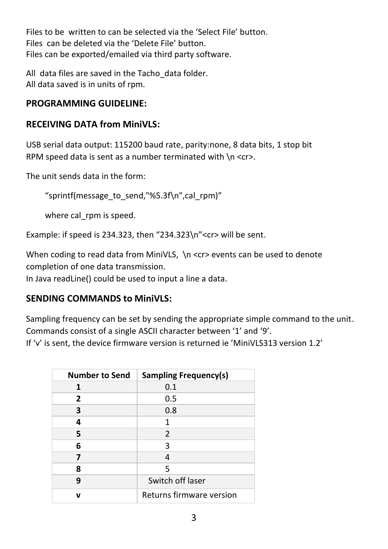Files to be written to can be selected via the 'Select File' button. Files can be deleted via the 'Delete File' button. Files can be exported/emailed via third party software.

All data files are saved in the Tacho data folder. All data saved is in units of rpm.

# **PROGRAMMING GUIDELINE:**

# **RECEIVING DATA from MiniVLS:**

USB serial data output: 115200 baud rate, parity:none, 8 data bits, 1 stop bit RPM speed data is sent as a number terminated with  $\ln$  <cr>.

The unit sends data in the form:

"sprintf(message\_to\_send,"%5.3f\n",cal\_rpm)"

where cal rpm is speed.

Example: if speed is 234.323, then "234.323\n"<cr> will be sent.

When coding to read data from MiniVLS, \n <cr> events can be used to denote completion of one data transmission.

In Java readLine() could be used to input a line a data.

# **SENDING COMMANDS to MiniVLS:**

Sampling frequency can be set by sending the appropriate simple command to the unit. Commands consist of a single ASCII character between '1' and '9'.

If 'v' is sent, the device firmware version is returned ie 'MiniVLS313 version 1.2'

| <b>Number to Send</b> | <b>Sampling Frequency(s)</b> |
|-----------------------|------------------------------|
| 1                     | 0.1                          |
| 2                     | 0.5                          |
| 3                     | 0.8                          |
| 4                     | 1                            |
| 5                     | $\overline{2}$               |
| 6                     | 3                            |
|                       | 4                            |
| 8                     | 5                            |
| ٩                     | Switch off laser             |
| v                     | Returns firmware version     |